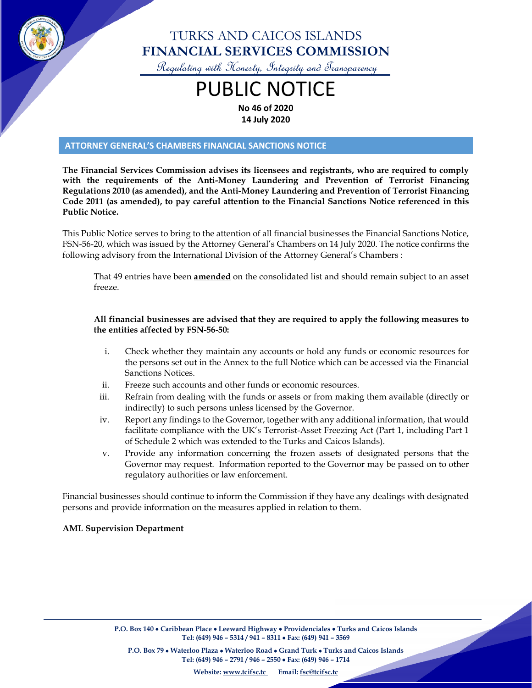

# TURKS AND CAICOS ISLANDS **FINANCIAL SERVICES COMMISSION**

Regulating with Honesty, Integrity and Transparency

# PUBLIC NOTICE **No 46 of 2020**

**14 July 2020**

#### **ATTORNEY GENERAL'S CHAMBERS FINANCIAL SANCTIONS NOTICE**

**The Financial Services Commission advises its licensees and registrants, who are required to comply with the requirements of the Anti-Money Laundering and Prevention of Terrorist Financing Regulations 2010 (as amended), and the Anti-Money Laundering and Prevention of Terrorist Financing Code 2011 (as amended), to pay careful attention to the Financial Sanctions Notice referenced in this Public Notice.**

This Public Notice serves to bring to the attention of all financial businesses the Financial Sanctions Notice, FSN-56-20, which was issued by the Attorney General's Chambers on 14 July 2020. The notice confirms the following advisory from the International Division of the Attorney General's Chambers :

That 49 entries have been **amended** on the consolidated list and should remain subject to an asset freeze.

#### **All financial businesses are advised that they are required to apply the following measures to the entities affected by FSN-56-50:**

- i. Check whether they maintain any accounts or hold any funds or economic resources for the persons set out in the Annex to the full Notice which can be accessed via the Financial Sanctions Notices.
- ii. Freeze such accounts and other funds or economic resources.
- iii. Refrain from dealing with the funds or assets or from making them available (directly or indirectly) to such persons unless licensed by the Governor.
- iv. Report any findings to the Governor, together with any additional information, that would facilitate compliance with the UK's Terrorist-Asset Freezing Act (Part 1, including Part 1 of Schedule 2 which was extended to the Turks and Caicos Islands).
- v. Provide any information concerning the frozen assets of designated persons that the Governor may request. Information reported to the Governor may be passed on to other regulatory authorities or law enforcement.

Financial businesses should continue to inform the Commission if they have any dealings with designated persons and provide information on the measures applied in relation to them.

#### **AML Supervision Department**

**P.O. Box 140** • **Caribbean Place** • **Leeward Highway** • **Providenciales** • **Turks and Caicos Islands Tel: (649) 946 – 5314 / 941 – 8311** • **Fax: (649) 941 – 3569**

**P.O. Box 79** • **Waterloo Plaza** • **Waterloo Road** • **Grand Turk** • **Turks and Caicos Islands Tel: (649) 946 – 2791 / 946 – 2550** • **Fax: (649) 946 – 1714**

**Website: [www.tcifsc.tc](http://www.tcifsc.tc/) Email[: fsc@tcifsc.tc](mailto:fsc@tcifsc.tc)**